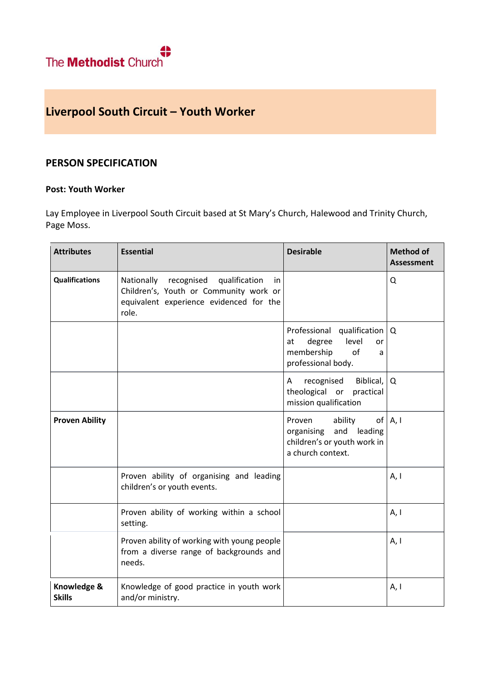## **Liverpool South Circuit – Youth Worker**

## **PERSON SPECIFICATION**

## **Post: Youth Worker**

Lay Employee in Liverpool South Circuit based at St Mary's Church, Halewood and Trinity Church, Page Moss.

| <b>Attributes</b>            | <b>Essential</b>                                                                                                                               | <b>Desirable</b>                                                                                                      | <b>Method of</b><br><b>Assessment</b> |
|------------------------------|------------------------------------------------------------------------------------------------------------------------------------------------|-----------------------------------------------------------------------------------------------------------------------|---------------------------------------|
| <b>Qualifications</b>        | Nationally<br>recognised<br>qualification<br>in.<br>Children's, Youth or Community work or<br>equivalent experience evidenced for the<br>role. |                                                                                                                       | Q                                     |
|                              |                                                                                                                                                | Professional qualification   Q<br>degree<br>level<br>at<br>or<br>membership<br>of<br>a<br>professional body.          |                                       |
|                              |                                                                                                                                                | Biblical,<br>recognised<br>A<br>theological or<br>practical<br>mission qualification                                  | Q                                     |
| <b>Proven Ability</b>        |                                                                                                                                                | Proven<br>ability<br>of <sub>l</sub><br>and leading<br>organising<br>children's or youth work in<br>a church context. | A, I                                  |
|                              | Proven ability of organising and leading<br>children's or youth events.                                                                        |                                                                                                                       | A, I                                  |
|                              | Proven ability of working within a school<br>setting.                                                                                          |                                                                                                                       | A, I                                  |
|                              | Proven ability of working with young people<br>from a diverse range of backgrounds and<br>needs.                                               |                                                                                                                       | A, I                                  |
| Knowledge &<br><b>Skills</b> | Knowledge of good practice in youth work<br>and/or ministry.                                                                                   |                                                                                                                       | A, I                                  |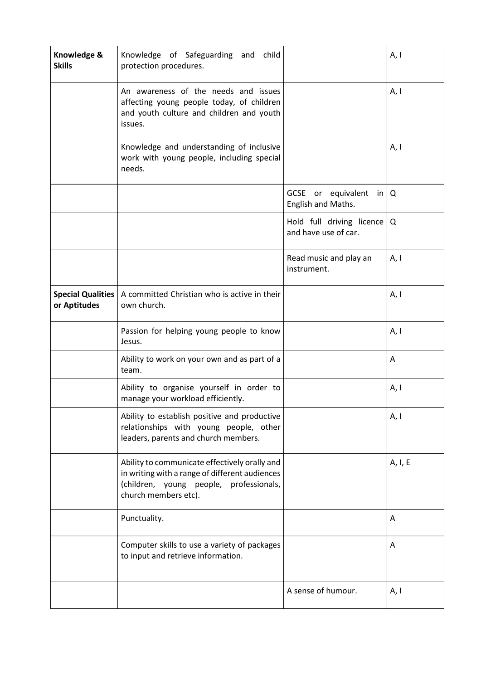| Knowledge &<br><b>Skills</b>             | Knowledge of Safeguarding and child<br>protection procedures.                                                                                                      |                                                     | A, I    |
|------------------------------------------|--------------------------------------------------------------------------------------------------------------------------------------------------------------------|-----------------------------------------------------|---------|
|                                          | An awareness of the needs and issues<br>affecting young people today, of children<br>and youth culture and children and youth<br>issues.                           |                                                     | A, I    |
|                                          | Knowledge and understanding of inclusive<br>work with young people, including special<br>needs.                                                                    |                                                     | A, I    |
|                                          |                                                                                                                                                                    | GCSE or equivalent in $Q$<br>English and Maths.     |         |
|                                          |                                                                                                                                                                    | Hold full driving licence Q<br>and have use of car. |         |
|                                          |                                                                                                                                                                    | Read music and play an<br>instrument.               | A, I    |
| <b>Special Qualities</b><br>or Aptitudes | A committed Christian who is active in their<br>own church.                                                                                                        |                                                     | A, I    |
|                                          | Passion for helping young people to know<br>Jesus.                                                                                                                 |                                                     | A, I    |
|                                          | Ability to work on your own and as part of a<br>team.                                                                                                              |                                                     | A       |
|                                          | Ability to organise yourself in order to<br>manage your workload efficiently.                                                                                      |                                                     | A, I    |
|                                          | Ability to establish positive and productive<br>relationships with young people, other<br>leaders, parents and church members.                                     |                                                     | A, I    |
|                                          | Ability to communicate effectively orally and<br>in writing with a range of different audiences<br>(children, young people, professionals,<br>church members etc). |                                                     | A, I, E |
|                                          | Punctuality.                                                                                                                                                       |                                                     | A       |
|                                          | Computer skills to use a variety of packages<br>to input and retrieve information.                                                                                 |                                                     | A       |
|                                          |                                                                                                                                                                    | A sense of humour.                                  | A, I    |